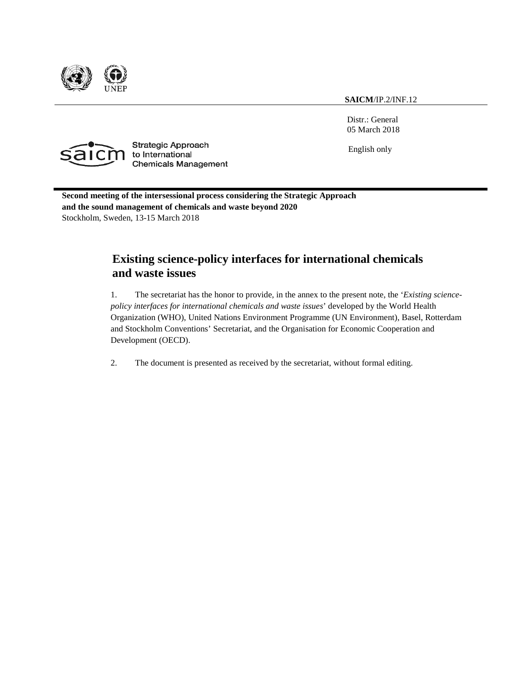

**SAICM**/IP.2/INF.12

Distr.: General 05 March 2018



**Strategic Approach** to International **Chemicals Management** 

English only

**Second meeting of the intersessional process considering the Strategic Approach and the sound management of chemicals and waste beyond 2020** Stockholm, Sweden, 13-15 March 2018

# **Existing science-policy interfaces for international chemicals and waste issues**

1. The secretariat has the honor to provide, in the annex to the present note, the '*Existing sciencepolicy interfaces for international chemicals and waste issues*' developed by the World Health Organization (WHO), United Nations Environment Programme (UN Environment), Basel, Rotterdam and Stockholm Conventions' Secretariat, and the Organisation for Economic Cooperation and Development (OECD).

2. The document is presented as received by the secretariat, without formal editing.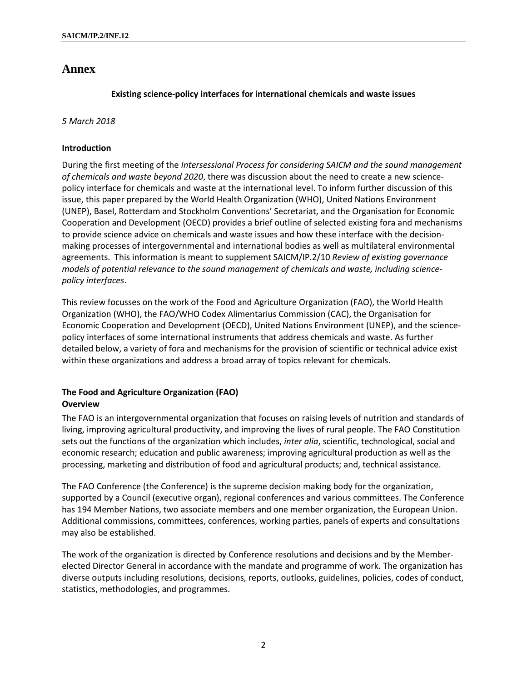## **Annex**

## **Existing science-policy interfaces for international chemicals and waste issues**

#### *5 March 2018*

### **Introduction**

During the first meeting of the *Intersessional Process for considering SAICM and the sound management of chemicals and waste beyond 2020*, there was discussion about the need to create a new sciencepolicy interface for chemicals and waste at the international level. To inform further discussion of this issue, this paper prepared by the World Health Organization (WHO), United Nations Environment (UNEP), Basel, Rotterdam and Stockholm Conventions' Secretariat, and the Organisation for Economic Cooperation and Development (OECD) provides a brief outline of selected existing fora and mechanisms to provide science advice on chemicals and waste issues and how these interface with the decisionmaking processes of intergovernmental and international bodies as well as multilateral environmental agreements. This information is meant to supplement SAICM/IP.2/10 *Review of existing governance models of potential relevance to the sound management of chemicals and waste, including sciencepolicy interfaces*.

This review focusses on the work of the Food and Agriculture Organization (FAO), the World Health Organization (WHO), the FAO/WHO Codex Alimentarius Commission (CAC), the Organisation for Economic Cooperation and Development (OECD), United Nations Environment (UNEP), and the sciencepolicy interfaces of some international instruments that address chemicals and waste. As further detailed below, a variety of fora and mechanisms for the provision of scientific or technical advice exist within these organizations and address a broad array of topics relevant for chemicals.

## **The Food and Agriculture Organization (FAO) Overview**

The FAO is an intergovernmental organization that focuses on raising levels of nutrition and standards of living, improving agricultural productivity, and improving the lives of rural people. The FAO Constitution sets out the functions of the organization which includes, *inter alia*, scientific, technological, social and economic research; education and public awareness; improving agricultural production as well as the processing, marketing and distribution of food and agricultural products; and, technical assistance.

The FAO Conference (the Conference) is the supreme decision making body for the organization, supported by a Council (executive organ), regional conferences and various committees. The Conference has 194 Member Nations, two associate members and one member organization, the European Union. Additional commissions, committees, conferences, working parties, panels of experts and consultations may also be established.

The work of the organization is directed by Conference resolutions and decisions and by the Memberelected Director General in accordance with the mandate and programme of work. The organization has diverse outputs including resolutions, decisions, reports, outlooks, guidelines, policies, codes of conduct, statistics, methodologies, and programmes.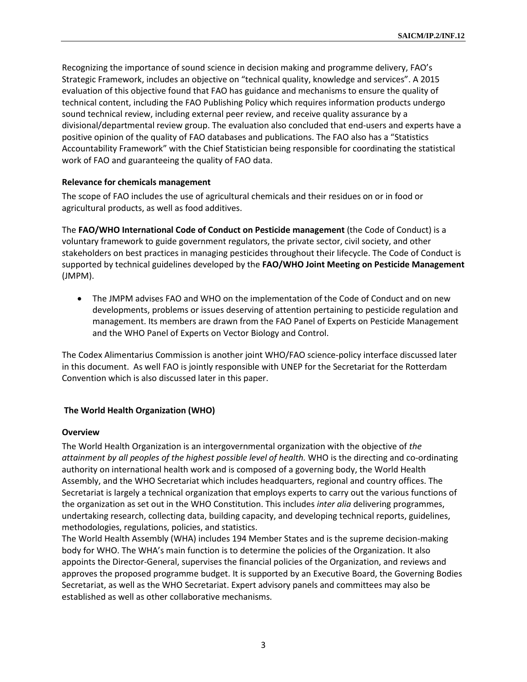Recognizing the importance of sound science in decision making and programme delivery, FAO's Strategic Framework, includes an objective on "technical quality, knowledge and services". A 2015 evaluation of this objective found that FAO has guidance and mechanisms to ensure the quality of technical content, including the FAO Publishing Policy which requires information products undergo sound technical review, including external peer review, and receive quality assurance by a divisional/departmental review group. The evaluation also concluded that end-users and experts have a positive opinion of the quality of FAO databases and publications. The FAO also has a "Statistics Accountability Framework" with the Chief Statistician being responsible for coordinating the statistical work of FAO and guaranteeing the quality of FAO data.

#### **Relevance for chemicals management**

The scope of FAO includes the use of agricultural chemicals and their residues on or in food or agricultural products, as well as food additives.

The **FAO/WHO International Code of Conduct on Pesticide management** (the Code of Conduct) is a voluntary framework to guide government regulators, the private sector, civil society, and other stakeholders on best practices in managing pesticides throughout their lifecycle. The Code of Conduct is supported by technical guidelines developed by the **FAO/WHO Joint Meeting on Pesticide Management** (JMPM).

The JMPM advises FAO and WHO on the implementation of the Code of Conduct and on new developments, problems or issues deserving of attention pertaining to pesticide regulation and management. Its members are drawn from the FAO Panel of Experts on Pesticide Management and the WHO Panel of Experts on Vector Biology and Control.

The Codex Alimentarius Commission is another joint WHO/FAO science-policy interface discussed later in this document. As well FAO is jointly responsible with UNEP for the Secretariat for the Rotterdam Convention which is also discussed later in this paper.

#### **The World Health Organization (WHO)**

#### **Overview**

The World Health Organization is an intergovernmental organization with the objective of *the attainment by all peoples of the highest possible level of health.* WHO is the directing and co-ordinating authority on international health work and is composed of a governing body, the World Health Assembly, and the WHO Secretariat which includes headquarters, regional and country offices. The Secretariat is largely a technical organization that employs experts to carry out the various functions of the organization as set out in the WHO Constitution. This includes *inter alia* delivering programmes, undertaking research, collecting data, building capacity, and developing technical reports, guidelines, methodologies, regulations, policies, and statistics.

The World Health Assembly (WHA) includes 194 Member States and is the supreme decision-making body for WHO. The WHA's main function is to determine the policies of the Organization. It also appoints the Director-General, supervises the financial policies of the Organization, and reviews and approves the proposed programme budget. It is supported by an Executive Board, the Governing Bodies Secretariat, as well as the WHO Secretariat. Expert advisory panels and committees may also be established as well as other collaborative mechanisms.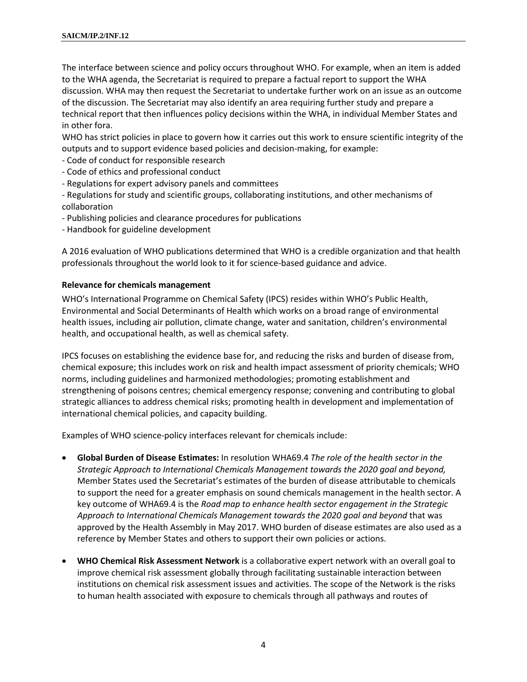The interface between science and policy occurs throughout WHO. For example, when an item is added to the WHA agenda, the Secretariat is required to prepare a factual report to support the WHA discussion. WHA may then request the Secretariat to undertake further work on an issue as an outcome of the discussion. The Secretariat may also identify an area requiring further study and prepare a technical report that then influences policy decisions within the WHA, in individual Member States and in other fora.

WHO has strict policies in place to govern how it carries out this work to ensure scientific integrity of the outputs and to support evidence based policies and decision-making, for example:

- Code of conduct for responsible research
- Code of ethics and professional conduct
- Regulations for expert advisory panels and committees

- Regulations for study and scientific groups, collaborating institutions, and other mechanisms of collaboration

- Publishing policies and clearance procedures for publications
- Handbook for guideline development

A 2016 evaluation of WHO publications determined that WHO is a credible organization and that health professionals throughout the world look to it for science-based guidance and advice.

#### **Relevance for chemicals management**

WHO's International Programme on Chemical Safety (IPCS) resides within WHO's Public Health, Environmental and Social Determinants of Health which works on a broad range of environmental health issues, including air pollution, climate change, water and sanitation, children's environmental health, and occupational health, as well as chemical safety.

IPCS focuses on establishing the evidence base for, and reducing the risks and burden of disease from, chemical exposure; this includes work on risk and health impact assessment of priority chemicals; WHO norms, including guidelines and harmonized methodologies; promoting establishment and strengthening of poisons centres; chemical emergency response; convening and contributing to global strategic alliances to address chemical risks; promoting health in development and implementation of international chemical policies, and capacity building.

Examples of WHO science-policy interfaces relevant for chemicals include:

- **Global Burden of Disease Estimates:** In resolution WHA69.4 *The role of the health sector in the Strategic Approach to International Chemicals Management towards the 2020 goal and beyond,* Member States used the Secretariat's estimates of the burden of disease attributable to chemicals to support the need for a greater emphasis on sound chemicals management in the health sector. A key outcome of WHA69.4 is the *Road map to enhance health sector engagement in the Strategic Approach to International Chemicals Management towards the 2020 goal and beyond* that was approved by the Health Assembly in May 2017. WHO burden of disease estimates are also used as a reference by Member States and others to support their own policies or actions.
- **WHO Chemical Risk Assessment Network** is a collaborative expert network with an overall goal to improve chemical risk assessment globally through facilitating sustainable interaction between institutions on chemical risk assessment issues and activities. The scope of the Network is the risks to human health associated with exposure to chemicals through all pathways and routes of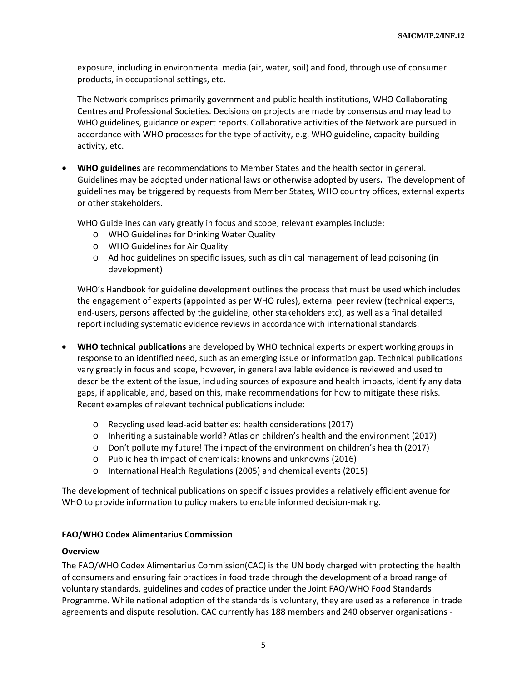exposure, including in environmental media (air, water, soil) and food, through use of consumer products, in occupational settings, etc.

The Network comprises primarily government and public health institutions, WHO Collaborating Centres and Professional Societies. Decisions on projects are made by consensus and may lead to WHO guidelines, guidance or expert reports. Collaborative activities of the Network are pursued in accordance with WHO processes for the type of activity, e.g. WHO guideline, capacity-building activity, etc.

• **WHO guidelines** are recommendations to Member States and the health sector in general. Guidelines may be adopted under national laws or otherwise adopted by users**.** The development of guidelines may be triggered by requests from Member States, WHO country offices, external experts or other stakeholders.

WHO Guidelines can vary greatly in focus and scope; relevant examples include:

- o WHO Guidelines for Drinking Water Quality
- o WHO Guidelines for Air Quality
- o Ad hoc guidelines on specific issues, such as clinical management of lead poisoning (in development)

WHO's Handbook for guideline development outlines the process that must be used which includes the engagement of experts (appointed as per WHO rules), external peer review (technical experts, end-users, persons affected by the guideline, other stakeholders etc), as well as a final detailed report including systematic evidence reviews in accordance with international standards.

- **WHO technical publications** are developed by WHO technical experts or expert working groups in response to an identified need, such as an emerging issue or information gap. Technical publications vary greatly in focus and scope, however, in general available evidence is reviewed and used to describe the extent of the issue, including sources of exposure and health impacts, identify any data gaps, if applicable, and, based on this, make recommendations for how to mitigate these risks. Recent examples of relevant technical publications include:
	- o Recycling used lead-acid batteries: health considerations (2017)
	- o Inheriting a sustainable world? Atlas on children's health and the environment (2017)
	- o Don't pollute my future! The impact of the environment on children's health (2017)
	- o Public health impact of chemicals: knowns and unknowns (2016)
	- o International Health Regulations (2005) and chemical events (2015)

The development of technical publications on specific issues provides a relatively efficient avenue for WHO to provide information to policy makers to enable informed decision-making.

#### **FAO/WHO Codex Alimentarius Commission**

#### **Overview**

The FAO/WHO Codex Alimentarius Commission(CAC) is the UN body charged with protecting the health of consumers and ensuring fair practices in food trade through the development of a broad range of voluntary standards, guidelines and codes of practice under the Joint FAO/WHO Food Standards Programme. While national adoption of the standards is voluntary, they are used as a reference in trade agreements and dispute resolution. CAC currently has 188 members and 240 observer organisations -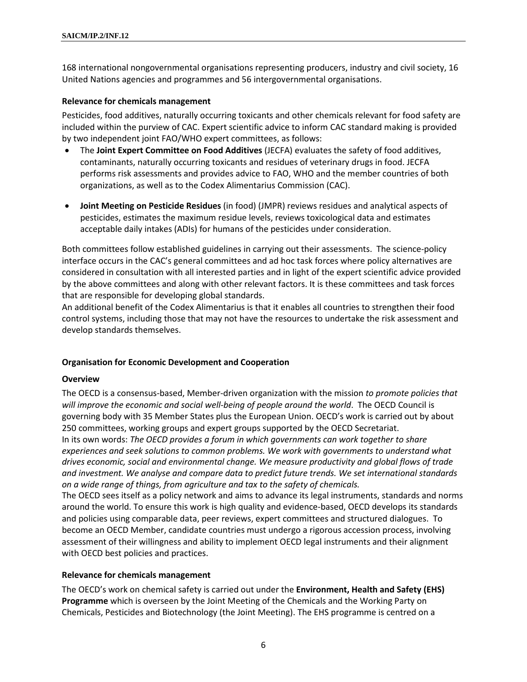168 international nongovernmental organisations representing producers, industry and civil society, 16 United Nations agencies and programmes and 56 intergovernmental organisations.

#### **Relevance for chemicals management**

Pesticides, food additives, naturally occurring toxicants and other chemicals relevant for food safety are included within the purview of CAC. Expert scientific advice to inform CAC standard making is provided by two independent joint FAO/WHO expert committees, as follows:

- The **Joint Expert Committee on Food Additives** (JECFA) evaluates the safety of food additives, contaminants, naturally occurring toxicants and residues of veterinary drugs in food. JECFA performs risk assessments and provides advice to FAO, WHO and the member countries of both organizations, as well as to the Codex Alimentarius Commission (CAC).
- **Joint Meeting on Pesticide Residues** (in food) (JMPR) reviews residues and analytical aspects of pesticides, estimates the maximum residue levels, reviews toxicological data and estimates acceptable daily intakes (ADIs) for humans of the pesticides under consideration.

Both committees follow established guidelines in carrying out their assessments. The science-policy interface occurs in the CAC's general committees and ad hoc task forces where policy alternatives are considered in consultation with all interested parties and in light of the expert scientific advice provided by the above committees and along with other relevant factors. It is these committees and task forces that are responsible for developing global standards.

An additional benefit of the Codex Alimentarius is that it enables all countries to strengthen their food control systems, including those that may not have the resources to undertake the risk assessment and develop standards themselves.

#### **Organisation for Economic Development and Cooperation**

#### **Overview**

The OECD is a consensus-based, Member-driven organization with the mission *to promote policies that will improve the economic and social well-being of people around the world*. The OECD Council is governing body with 35 Member States plus the European Union. OECD's work is carried out by about 250 committees, working groups and expert groups supported by the OECD Secretariat.

In its own words: *The OECD provides a forum in which governments can work together to share experiences and seek solutions to common problems. We work with governments to understand what drives economic, social and environmental change. We measure productivity and global flows of trade and investment. We analyse and compare data to predict future trends. We set international standards on a wide range of things, from agriculture and tax to the safety of chemicals.*

The OECD sees itself as a policy network and aims to advance its legal instruments, standards and norms around the world. To ensure this work is high quality and evidence-based, OECD develops its standards and policies using comparable data, peer reviews, expert committees and structured dialogues. To become an OECD Member, candidate countries must undergo a rigorous accession process, involving assessment of their willingness and ability to implement OECD legal instruments and their alignment with OECD best policies and practices.

#### **Relevance for chemicals management**

The OECD's work on chemical safety is carried out under the **Environment, Health and Safety (EHS) Programme** which is overseen by the Joint Meeting of the Chemicals and the Working Party on Chemicals, Pesticides and Biotechnology (the Joint Meeting). The EHS programme is centred on a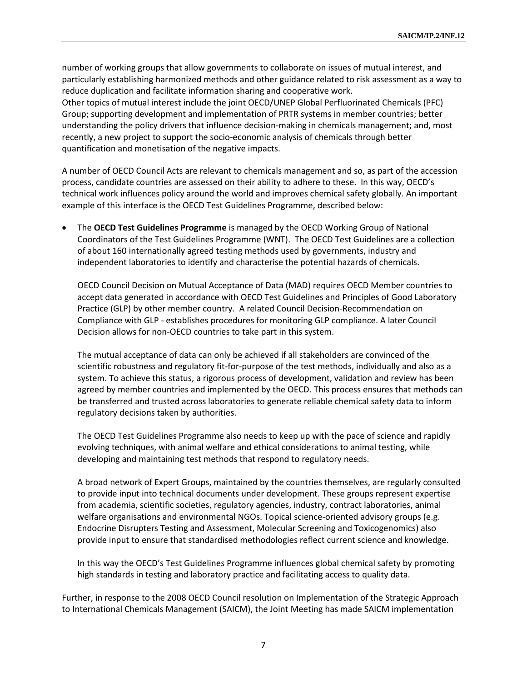number of working groups that allow governments to collaborate on issues of mutual interest, and particularly establishing harmonized methods and other guidance related to risk assessment as a way to reduce duplication and facilitate information sharing and cooperative work. Other topics of mutual interest include the joint OECD/UNEP Global Perfluorinated Chemicals (PFC) Group; supporting development and implementation of PRTR systems in member countries; better understanding the policy drivers that influence decision-making in chemicals management; and, most recently, a new project to support the socio-economic analysis of chemicals through better quantification and monetisation of the negative impacts.

A number of OECD Council Acts are relevant to chemicals management and so, as part of the accession process, candidate countries are assessed on their ability to adhere to these. In this way, OECD's technical work influences policy around the world and improves chemical safety globally. An important example of this interface is the OECD Test Guidelines Programme, described below:

• The **OECD Test Guidelines Programme** is managed by the OECD Working Group of National Coordinators of the Test Guidelines Programme (WNT). The OECD Test Guidelines are a collection of about 160 internationally agreed testing methods used by governments, industry and independent laboratories to identify and characterise the potential hazards of chemicals.

OECD Council Decision on Mutual Acceptance of Data (MAD) requires OECD Member countries to accept data generated in accordance with OECD Test Guidelines and Principles of Good Laboratory Practice (GLP) by other member country. A related Council Decision-Recommendation on Compliance with GLP - establishes procedures for monitoring GLP compliance. A later Council Decision allows for non-OECD countries to take part in this system.

The mutual acceptance of data can only be achieved if all stakeholders are convinced of the scientific robustness and regulatory fit-for-purpose of the test methods, individually and also as a system. To achieve this status, a rigorous process of development, validation and review has been agreed by member countries and implemented by the OECD. This process ensures that methods can be transferred and trusted across laboratories to generate reliable chemical safety data to inform regulatory decisions taken by authorities.

The OECD Test Guidelines Programme also needs to keep up with the pace of science and rapidly evolving techniques, with animal welfare and ethical considerations to animal testing, while developing and maintaining test methods that respond to regulatory needs.

A broad network of Expert Groups, maintained by the countries themselves, are regularly consulted to provide input into technical documents under development. These groups represent expertise from academia, scientific societies, regulatory agencies, industry, contract laboratories, animal welfare organisations and environmental NGOs. Topical science-oriented advisory groups (e.g. Endocrine Disrupters Testing and Assessment, Molecular Screening and Toxicogenomics) also provide input to ensure that standardised methodologies reflect current science and knowledge.

In this way the OECD's Test Guidelines Programme influences global chemical safety by promoting high standards in testing and laboratory practice and facilitating access to quality data.

Further, in response to the 2008 OECD Council resolution on Implementation of the Strategic Approach to International Chemicals Management (SAICM), the Joint Meeting has made SAICM implementation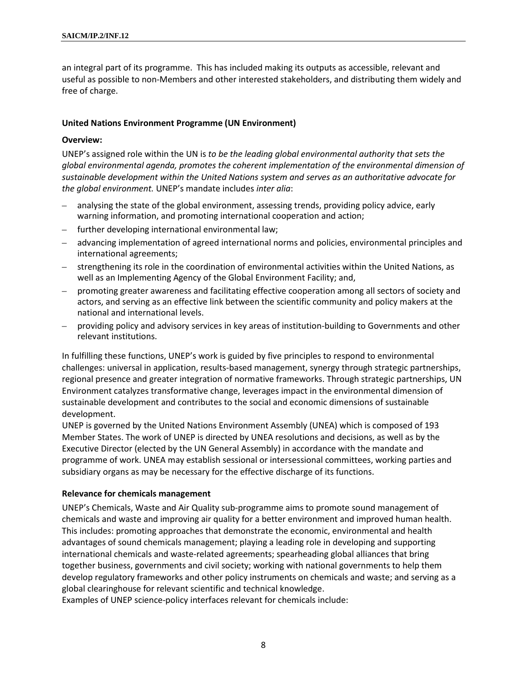an integral part of its programme. This has included making its outputs as accessible, relevant and useful as possible to non-Members and other interested stakeholders, and distributing them widely and free of charge.

#### **United Nations Environment Programme (UN Environment)**

#### **Overview:**

UNEP's assigned role within the UN is *to be the leading global environmental authority that sets the global environmental agenda, promotes the coherent implementation of the environmental dimension of sustainable development within the United Nations system and serves as an authoritative advocate for the global environment.* UNEP's mandate includes *inter alia*:

- analysing the state of the global environment, assessing trends, providing policy advice, early warning information, and promoting international cooperation and action;
- further developing international environmental law;
- advancing implementation of agreed international norms and policies, environmental principles and international agreements;
- strengthening its role in the coordination of environmental activities within the United Nations, as well as an Implementing Agency of the Global Environment Facility; and,
- promoting greater awareness and facilitating effective cooperation among all sectors of society and actors, and serving as an effective link between the scientific community and policy makers at the national and international levels.
- providing policy and advisory services in key areas of institution-building to Governments and other relevant institutions.

In fulfilling these functions, UNEP's work is guided by five principles to respond to environmental challenges: universal in application, results-based management, synergy through strategic partnerships, regional presence and greater integration of normative frameworks. Through strategic partnerships, UN Environment catalyzes transformative change, leverages impact in the environmental dimension of sustainable development and contributes to the social and economic dimensions of sustainable development.

UNEP is governed by the United Nations Environment Assembly (UNEA) which is composed of 193 Member States. The work of UNEP is directed by UNEA resolutions and decisions, as well as by the Executive Director (elected by the UN General Assembly) in accordance with the mandate and programme of work. UNEA may establish sessional or intersessional committees, working parties and subsidiary organs as may be necessary for the effective discharge of its functions.

#### **Relevance for chemicals management**

UNEP's Chemicals, Waste and Air Quality sub-programme aims to promote sound management of chemicals and waste and improving air quality for a better environment and improved human health. This includes: promoting approaches that demonstrate the economic, environmental and health advantages of sound chemicals management; playing a leading role in developing and supporting international chemicals and waste-related agreements; spearheading global alliances that bring together business, governments and civil society; working with national governments to help them develop regulatory frameworks and other policy instruments on chemicals and waste; and serving as a global clearinghouse for relevant scientific and technical knowledge.

Examples of UNEP science-policy interfaces relevant for chemicals include: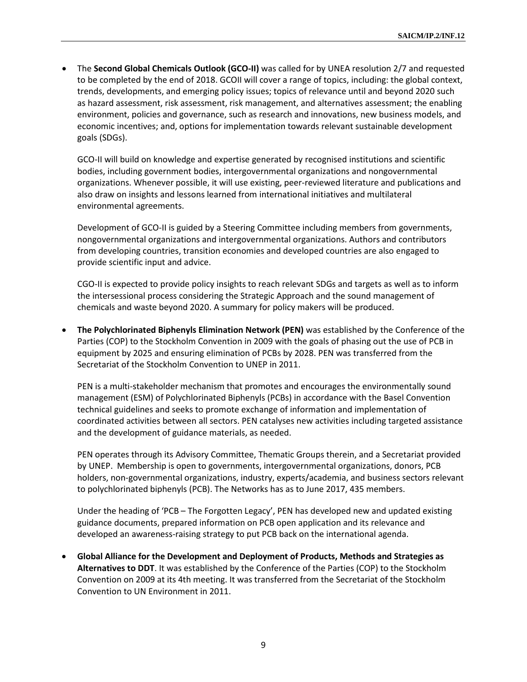• The **Second Global Chemicals Outlook (GCO-II)** was called for by UNEA resolution 2/7 and requested to be completed by the end of 2018. GCOII will cover a range of topics, including: the global context, trends, developments, and emerging policy issues; topics of relevance until and beyond 2020 such as hazard assessment, risk assessment, risk management, and alternatives assessment; the enabling environment, policies and governance, such as research and innovations, new business models, and economic incentives; and, options for implementation towards relevant sustainable development goals (SDGs).

GCO-II will build on knowledge and expertise generated by recognised institutions and scientific bodies, including government bodies, intergovernmental organizations and nongovernmental organizations. Whenever possible, it will use existing, peer-reviewed literature and publications and also draw on insights and lessons learned from international initiatives and multilateral environmental agreements.

Development of GCO-II is guided by a Steering Committee including members from governments, nongovernmental organizations and intergovernmental organizations. Authors and contributors from developing countries, transition economies and developed countries are also engaged to provide scientific input and advice.

CGO-II is expected to provide policy insights to reach relevant SDGs and targets as well as to inform the intersessional process considering the Strategic Approach and the sound management of chemicals and waste beyond 2020. A summary for policy makers will be produced.

• **The Polychlorinated Biphenyls Elimination Network (PEN)** was established by the Conference of the Parties (COP) to the Stockholm Convention in 2009 with the goals of phasing out the use of PCB in equipment by 2025 and ensuring elimination of PCBs by 2028. PEN was transferred from the Secretariat of the Stockholm Convention to UNEP in 2011.

PEN is a multi-stakeholder mechanism that promotes and encourages the environmentally sound management (ESM) of Polychlorinated Biphenyls (PCBs) in accordance with the Basel Convention technical guidelines and seeks to promote exchange of information and implementation of coordinated activities between all sectors. PEN catalyses new activities including targeted assistance and the development of guidance materials, as needed.

PEN operates through its Advisory Committee, Thematic Groups therein, and a Secretariat provided by UNEP. Membership is open to governments, intergovernmental organizations, donors, PCB holders, non-governmental organizations, industry, experts/academia, and business sectors relevant to polychlorinated biphenyls (PCB). The Networks has as to June 2017, 435 members.

Under the heading of 'PCB – The Forgotten Legacy', PEN has developed new and updated existing guidance documents, prepared information on PCB open application and its relevance and developed an awareness-raising strategy to put PCB back on the international agenda.

• **Global Alliance for the Development and Deployment of Products, Methods and Strategies as Alternatives to DDT**. It was established by the Conference of the Parties (COP) to the Stockholm Convention on 2009 at its 4th meeting. It was transferred from the Secretariat of the Stockholm Convention to UN Environment in 2011.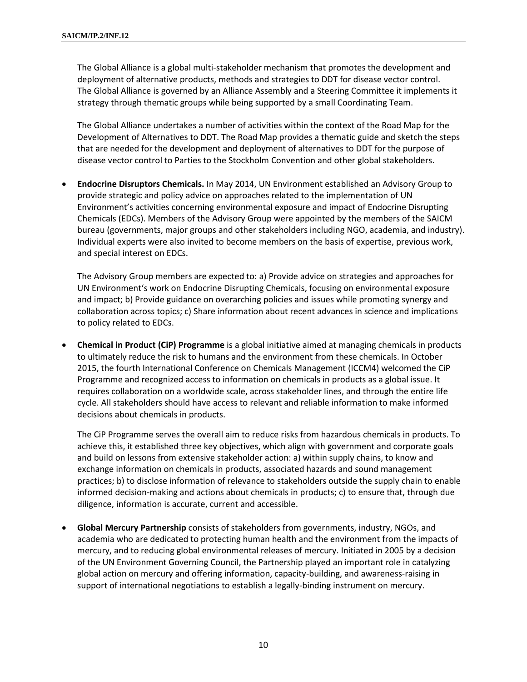The Global Alliance is a global multi-stakeholder mechanism that promotes the development and deployment of alternative products, methods and strategies to DDT for disease vector control. The Global Alliance is governed by an Alliance Assembly and a Steering Committee it implements it strategy through thematic groups while being supported by a small Coordinating Team.

The Global Alliance undertakes a number of activities within the context of the Road Map for the Development of Alternatives to DDT. The Road Map provides a thematic guide and sketch the steps that are needed for the development and deployment of alternatives to DDT for the purpose of disease vector control to Parties to the Stockholm Convention and other global stakeholders.

• **Endocrine Disruptors Chemicals.** In May 2014, UN Environment established an Advisory Group to provide strategic and policy advice on approaches related to the implementation of UN Environment's activities concerning environmental exposure and impact of Endocrine Disrupting Chemicals (EDCs). Members of the Advisory Group were appointed by the members of the SAICM bureau (governments, major groups and other stakeholders including NGO, academia, and industry). Individual experts were also invited to become members on the basis of expertise, previous work, and special interest on EDCs.

The Advisory Group members are expected to: a) Provide advice on strategies and approaches for UN Environment's work on Endocrine Disrupting Chemicals, focusing on environmental exposure and impact; b) Provide guidance on overarching policies and issues while promoting synergy and collaboration across topics; c) Share information about recent advances in science and implications to policy related to EDCs.

• **Chemical in Product (CiP) Programme** is a global initiative aimed at managing chemicals in products to ultimately reduce the risk to humans and the environment from these chemicals. In October 2015, the fourth International Conference on Chemicals Management (ICCM4) welcomed the CiP Programme and recognized access to information on chemicals in products as a global issue. It requires collaboration on a worldwide scale, across stakeholder lines, and through the entire life cycle. All stakeholders should have access to relevant and reliable information to make informed decisions about chemicals in products.

The CiP Programme serves the overall aim to reduce risks from hazardous chemicals in products. To achieve this, it established three key objectives, which align with government and corporate goals and build on lessons from extensive stakeholder action: a) within supply chains, to know and exchange information on chemicals in products, associated hazards and sound management practices; b) to disclose information of relevance to stakeholders outside the supply chain to enable informed decision-making and actions about chemicals in products; c) to ensure that, through due diligence, information is accurate, current and accessible.

• **Global Mercury Partnership** consists of stakeholders from governments, industry, NGOs, and academia who are dedicated to protecting human health and the environment from the impacts of mercury, and to reducing global environmental releases of mercury. Initiated in 2005 by a decision of the UN Environment Governing Council, the Partnership played an important role in catalyzing global action on mercury and offering information, capacity-building, and awareness-raising in support of international negotiations to establish a legally-binding instrument on mercury.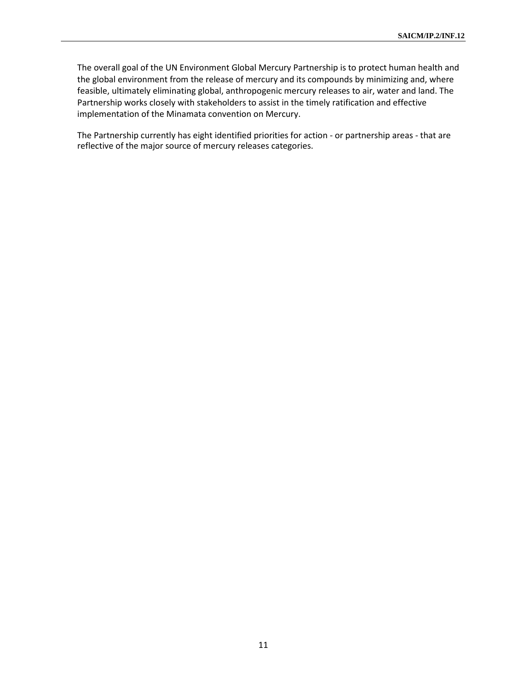The overall goal of the UN Environment Global Mercury Partnership is to protect human health and the global environment from the release of mercury and its compounds by minimizing and, where feasible, ultimately eliminating global, anthropogenic mercury releases to air, water and land. The Partnership works closely with stakeholders to assist in the timely ratification and effective implementation of the Minamata convention on Mercury.

The Partnership currently has eight identified priorities for action - or partnership areas - that are reflective of the major source of mercury releases categories.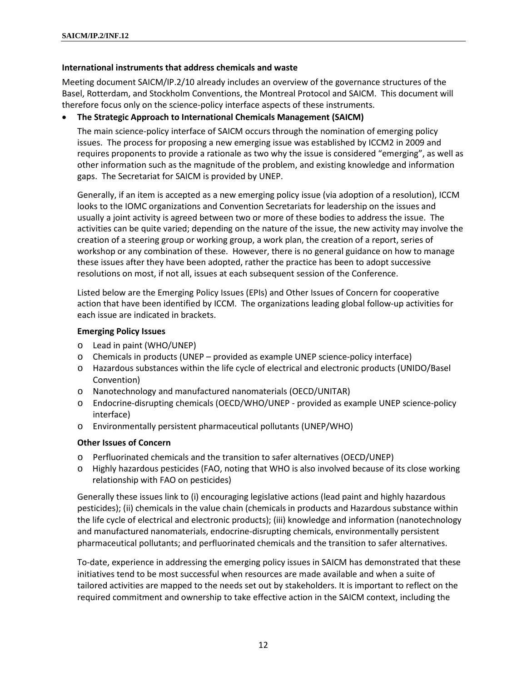#### **International instruments that address chemicals and waste**

Meeting document SAICM/IP.2/10 already includes an overview of the governance structures of the Basel, Rotterdam, and Stockholm Conventions, the Montreal Protocol and SAICM. This document will therefore focus only on the science-policy interface aspects of these instruments.

#### • **The Strategic Approach to International Chemicals Management (SAICM)**

The main science-policy interface of SAICM occurs through the nomination of emerging policy issues. The process for proposing a new emerging issue was established by ICCM2 in 2009 and requires proponents to provide a rationale as two why the issue is considered "emerging", as well as other information such as the magnitude of the problem, and existing knowledge and information gaps. The Secretariat for SAICM is provided by UNEP.

Generally, if an item is accepted as a new emerging policy issue (via adoption of a resolution), ICCM looks to the IOMC organizations and Convention Secretariats for leadership on the issues and usually a joint activity is agreed between two or more of these bodies to address the issue. The activities can be quite varied; depending on the nature of the issue, the new activity may involve the creation of a steering group or working group, a work plan, the creation of a report, series of workshop or any combination of these. However, there is no general guidance on how to manage these issues after they have been adopted, rather the practice has been to adopt successive resolutions on most, if not all, issues at each subsequent session of the Conference.

Listed below are the Emerging Policy Issues (EPIs) and Other Issues of Concern for cooperative action that have been identified by ICCM. The organizations leading global follow-up activities for each issue are indicated in brackets.

#### **Emerging Policy Issues**

- o Lead in paint (WHO/UNEP)
- o Chemicals in products (UNEP provided as example UNEP science-policy interface)
- o Hazardous substances within the life cycle of electrical and electronic products (UNIDO/Basel Convention)
- o Nanotechnology and manufactured nanomaterials (OECD/UNITAR)
- o Endocrine-disrupting chemicals (OECD/WHO/UNEP provided as example UNEP science-policy interface)
- o Environmentally persistent pharmaceutical pollutants (UNEP/WHO)

#### **Other Issues of Concern**

- o Perfluorinated chemicals and the transition to safer alternatives (OECD/UNEP)
- o Highly hazardous pesticides (FAO, noting that WHO is also involved because of its close working relationship with FAO on pesticides)

Generally these issues link to (i) encouraging legislative actions (lead paint and highly hazardous pesticides); (ii) chemicals in the value chain (chemicals in products and Hazardous substance within the life cycle of electrical and electronic products); (iii) knowledge and information (nanotechnology and manufactured nanomaterials, endocrine-disrupting chemicals, environmentally persistent pharmaceutical pollutants; and perfluorinated chemicals and the transition to safer alternatives.

To-date, experience in addressing the emerging policy issues in SAICM has demonstrated that these initiatives tend to be most successful when resources are made available and when a suite of tailored activities are mapped to the needs set out by stakeholders. It is important to reflect on the required commitment and ownership to take effective action in the SAICM context, including the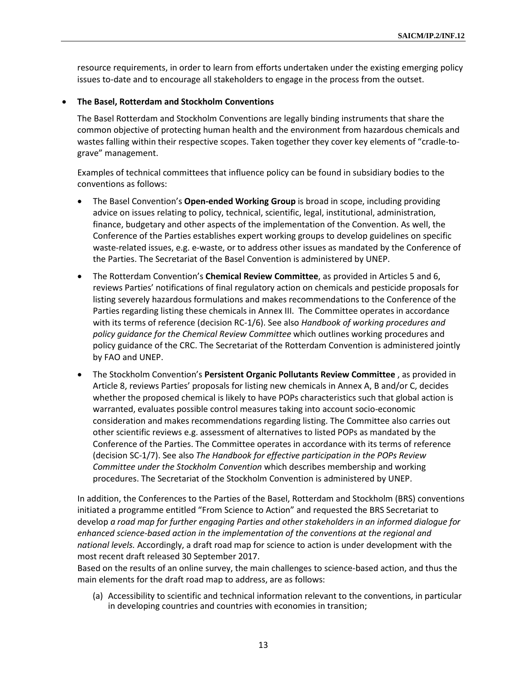resource requirements, in order to learn from efforts undertaken under the existing emerging policy issues to-date and to encourage all stakeholders to engage in the process from the outset.

#### • **The Basel, Rotterdam and Stockholm Conventions**

The Basel Rotterdam and Stockholm Conventions are legally binding instruments that share the common objective of protecting human health and the environment from hazardous chemicals and wastes falling within their respective scopes. Taken together they cover key elements of "cradle-tograve" management.

Examples of technical committees that influence policy can be found in subsidiary bodies to the conventions as follows:

- The Basel Convention's **Open-ended Working Group** is broad in scope, including providing advice on issues relating to policy, technical, scientific, legal, institutional, administration, finance, budgetary and other aspects of the implementation of the Convention. As well, the Conference of the Parties establishes expert working groups to develop guidelines on specific waste-related issues, e.g. e-waste, or to address other issues as mandated by the Conference of the Parties. The Secretariat of the Basel Convention is administered by UNEP.
- The Rotterdam Convention's **Chemical Review Committee**, as provided in Articles 5 and 6, reviews Parties' notifications of final regulatory action on chemicals and pesticide proposals for listing severely hazardous formulations and makes recommendations to the Conference of the Parties regarding listing these chemicals in Annex III. The Committee operates in accordance with its terms of reference (decision RC-1/6). See also *Handbook of working procedures and policy guidance for the Chemical Review Committee* which outlines working procedures and policy guidance of the CRC. The Secretariat of the Rotterdam Convention is administered jointly by FAO and UNEP.
- The Stockholm Convention's **Persistent Organic Pollutants Review Committee** , as provided in Article 8, reviews Parties' proposals for listing new chemicals in Annex A, B and/or C, decides whether the proposed chemical is likely to have POPs characteristics such that global action is warranted, evaluates possible control measures taking into account socio-economic consideration and makes recommendations regarding listing. The Committee also carries out other scientific reviews e.g. assessment of alternatives to listed POPs as mandated by the Conference of the Parties. The Committee operates in accordance with its terms of reference (decision SC-1/7). See also *The Handbook for effective participation in the POPs Review Committee under the Stockholm Convention* which describes membership and working procedures. The Secretariat of the Stockholm Convention is administered by UNEP.

In addition, the Conferences to the Parties of the Basel, Rotterdam and Stockholm (BRS) conventions initiated a programme entitled "From Science to Action" and requested the BRS Secretariat to develop *a road map for further engaging Parties and other stakeholders in an informed dialogue for enhanced science-based action in the implementation of the conventions at the regional and national levels.* Accordingly, a draft road map for science to action is under development with the most recent draft released 30 September 2017.

Based on the results of an online survey, the main challenges to science-based action, and thus the main elements for the draft road map to address, are as follows:

(a) Accessibility to scientific and technical information relevant to the conventions, in particular in developing countries and countries with economies in transition;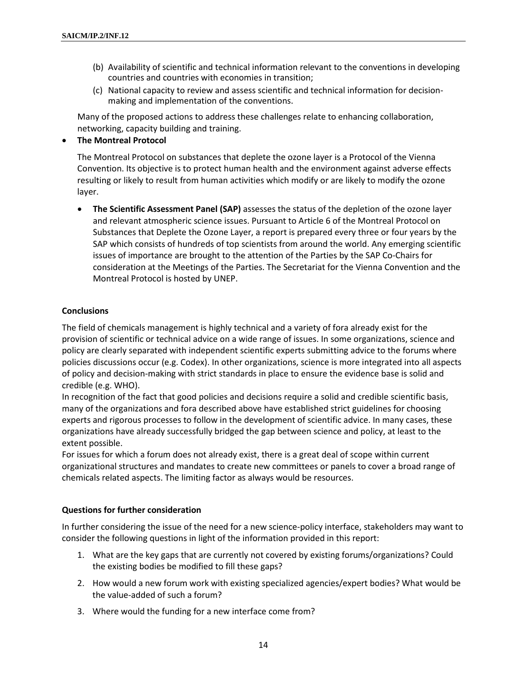- (b) Availability of scientific and technical information relevant to the conventions in developing countries and countries with economies in transition;
- (c) National capacity to review and assess scientific and technical information for decisionmaking and implementation of the conventions.

Many of the proposed actions to address these challenges relate to enhancing collaboration, networking, capacity building and training.

### • **The Montreal Protocol**

The Montreal Protocol on substances that deplete the ozone layer is a Protocol of the Vienna Convention. Its objective is to protect human health and the environment against adverse effects resulting or likely to result from human activities which modify or are likely to modify the ozone layer.

• **The Scientific Assessment Panel (SAP)** assesses the status of the depletion of the ozone layer and relevant atmospheric science issues. Pursuant to Article 6 of the Montreal Protocol on Substances that Deplete the Ozone Layer, a report is prepared every three or four years by the SAP which consists of hundreds of top scientists from around the world. Any emerging scientific issues of importance are brought to the attention of the Parties by the SAP Co-Chairs for consideration at the Meetings of the Parties. The Secretariat for the Vienna Convention and the Montreal Protocol is hosted by UNEP.

## **Conclusions**

The field of chemicals management is highly technical and a variety of fora already exist for the provision of scientific or technical advice on a wide range of issues. In some organizations, science and policy are clearly separated with independent scientific experts submitting advice to the forums where policies discussions occur (e.g. Codex). In other organizations, science is more integrated into all aspects of policy and decision-making with strict standards in place to ensure the evidence base is solid and credible (e.g. WHO).

In recognition of the fact that good policies and decisions require a solid and credible scientific basis, many of the organizations and fora described above have established strict guidelines for choosing experts and rigorous processes to follow in the development of scientific advice. In many cases, these organizations have already successfully bridged the gap between science and policy, at least to the extent possible.

For issues for which a forum does not already exist, there is a great deal of scope within current organizational structures and mandates to create new committees or panels to cover a broad range of chemicals related aspects. The limiting factor as always would be resources.

#### **Questions for further consideration**

In further considering the issue of the need for a new science-policy interface, stakeholders may want to consider the following questions in light of the information provided in this report:

- 1. What are the key gaps that are currently not covered by existing forums/organizations? Could the existing bodies be modified to fill these gaps?
- 2. How would a new forum work with existing specialized agencies/expert bodies? What would be the value-added of such a forum?
- 3. Where would the funding for a new interface come from?